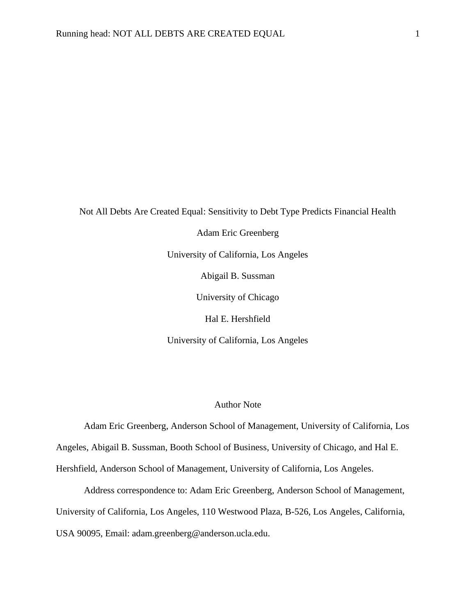Not All Debts Are Created Equal: Sensitivity to Debt Type Predicts Financial Health Adam Eric Greenberg University of California, Los Angeles Abigail B. Sussman University of Chicago Hal E. Hershfield University of California, Los Angeles

# Author Note

Adam Eric Greenberg, Anderson School of Management, University of California, Los Angeles, Abigail B. Sussman, Booth School of Business, University of Chicago, and Hal E. Hershfield, Anderson School of Management, University of California, Los Angeles.

Address correspondence to: Adam Eric Greenberg, Anderson School of Management, University of California, Los Angeles, 110 Westwood Plaza, B-526, Los Angeles, California, USA 90095, Email: adam.greenberg@anderson.ucla.edu.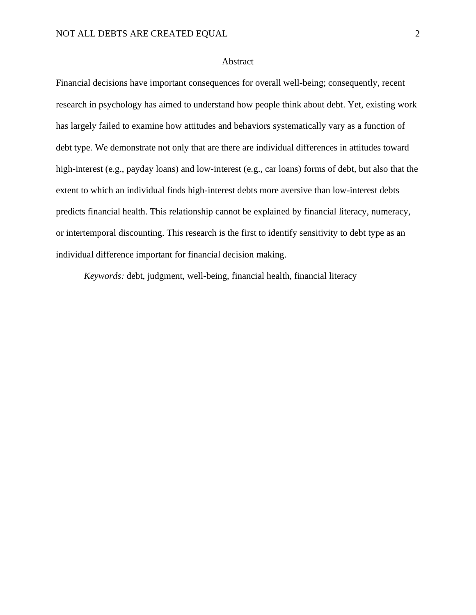#### Abstract

Financial decisions have important consequences for overall well-being; consequently, recent research in psychology has aimed to understand how people think about debt. Yet, existing work has largely failed to examine how attitudes and behaviors systematically vary as a function of debt type. We demonstrate not only that are there are individual differences in attitudes toward high-interest (e.g., payday loans) and low-interest (e.g., car loans) forms of debt, but also that the extent to which an individual finds high-interest debts more aversive than low-interest debts predicts financial health. This relationship cannot be explained by financial literacy, numeracy, or intertemporal discounting. This research is the first to identify sensitivity to debt type as an individual difference important for financial decision making.

*Keywords:* debt, judgment, well-being, financial health, financial literacy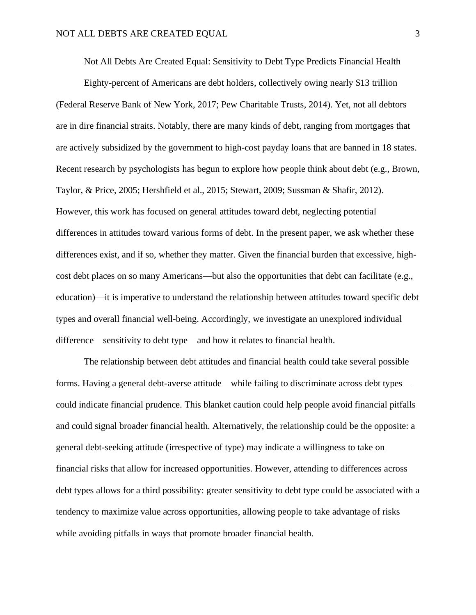Not All Debts Are Created Equal: Sensitivity to Debt Type Predicts Financial Health

Eighty-percent of Americans are debt holders, collectively owing nearly \$13 trillion (Federal Reserve Bank of New York, 2017; Pew Charitable Trusts, 2014). Yet, not all debtors are in dire financial straits. Notably, there are many kinds of debt, ranging from mortgages that are actively subsidized by the government to high-cost payday loans that are banned in 18 states. Recent research by psychologists has begun to explore how people think about debt (e.g., Brown, Taylor, & Price, 2005; Hershfield et al., 2015; Stewart, 2009; Sussman & Shafir, 2012). However, this work has focused on general attitudes toward debt, neglecting potential differences in attitudes toward various forms of debt. In the present paper, we ask whether these differences exist, and if so, whether they matter. Given the financial burden that excessive, highcost debt places on so many Americans—but also the opportunities that debt can facilitate (e.g., education)—it is imperative to understand the relationship between attitudes toward specific debt types and overall financial well-being. Accordingly, we investigate an unexplored individual difference—sensitivity to debt type—and how it relates to financial health.

The relationship between debt attitudes and financial health could take several possible forms. Having a general debt-averse attitude—while failing to discriminate across debt types could indicate financial prudence. This blanket caution could help people avoid financial pitfalls and could signal broader financial health. Alternatively, the relationship could be the opposite: a general debt-seeking attitude (irrespective of type) may indicate a willingness to take on financial risks that allow for increased opportunities. However, attending to differences across debt types allows for a third possibility: greater sensitivity to debt type could be associated with a tendency to maximize value across opportunities, allowing people to take advantage of risks while avoiding pitfalls in ways that promote broader financial health.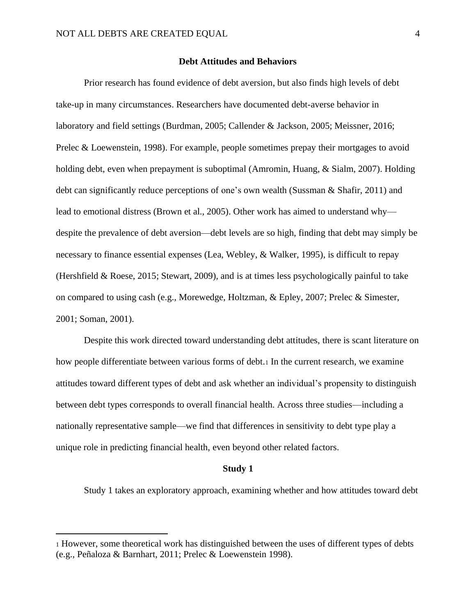#### **Debt Attitudes and Behaviors**

Prior research has found evidence of debt aversion, but also finds high levels of debt take-up in many circumstances. Researchers have documented debt-averse behavior in laboratory and field settings (Burdman, 2005; Callender & Jackson, 2005; Meissner, 2016; Prelec & Loewenstein, 1998). For example, people sometimes prepay their mortgages to avoid holding debt, even when prepayment is suboptimal (Amromin, Huang, & Sialm, 2007). Holding debt can significantly reduce perceptions of one's own wealth (Sussman & Shafir, 2011) and lead to emotional distress (Brown et al., 2005). Other work has aimed to understand why despite the prevalence of debt aversion—debt levels are so high, finding that debt may simply be necessary to finance essential expenses (Lea, Webley, & Walker, 1995), is difficult to repay (Hershfield & Roese, 2015; Stewart, 2009), and is at times less psychologically painful to take on compared to using cash (e.g., Morewedge, Holtzman, & Epley, 2007; Prelec & Simester, 2001; Soman, 2001).

Despite this work directed toward understanding debt attitudes, there is scant literature on how people differentiate between various forms of debt.1 In the current research, we examine attitudes toward different types of debt and ask whether an individual's propensity to distinguish between debt types corresponds to overall financial health. Across three studies—including a nationally representative sample—we find that differences in sensitivity to debt type play a unique role in predicting financial health, even beyond other related factors.

#### **Study 1**

Study 1 takes an exploratory approach, examining whether and how attitudes toward debt

<sup>1</sup> However, some theoretical work has distinguished between the uses of different types of debts (e.g., Peñaloza & Barnhart, 2011; Prelec & Loewenstein 1998).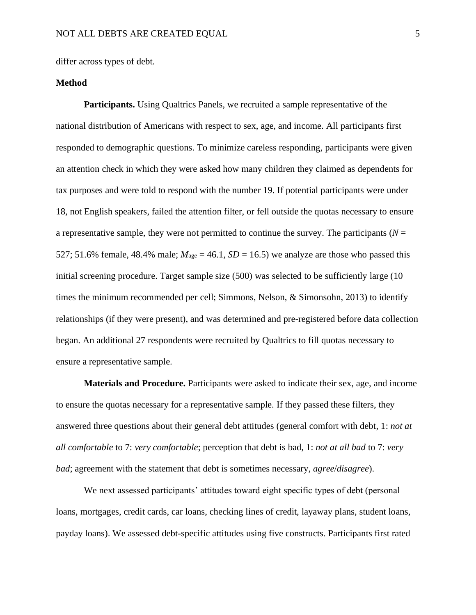differ across types of debt.

# **Method**

**Participants.** Using Qualtrics Panels, we recruited a sample representative of the national distribution of Americans with respect to sex, age, and income. All participants first responded to demographic questions. To minimize careless responding, participants were given an attention check in which they were asked how many children they claimed as dependents for tax purposes and were told to respond with the number 19. If potential participants were under 18, not English speakers, failed the attention filter, or fell outside the quotas necessary to ensure a representative sample, they were not permitted to continue the survey. The participants ( $N =$ 527; 51.6% female, 48.4% male;  $M_{\text{age}} = 46.1$ ,  $SD = 16.5$ ) we analyze are those who passed this initial screening procedure. Target sample size (500) was selected to be sufficiently large (10 times the minimum recommended per cell; Simmons, Nelson, & Simonsohn, 2013) to identify relationships (if they were present), and was determined and pre-registered before data collection began. An additional 27 respondents were recruited by Qualtrics to fill quotas necessary to ensure a representative sample.

**Materials and Procedure.** Participants were asked to indicate their sex, age, and income to ensure the quotas necessary for a representative sample. If they passed these filters, they answered three questions about their general debt attitudes (general comfort with debt, 1: *not at all comfortable* to 7: *very comfortable*; perception that debt is bad, 1: *not at all bad* to 7: *very bad*; agreement with the statement that debt is sometimes necessary, *agree*/*disagree*).

We next assessed participants' attitudes toward eight specific types of debt (personal loans, mortgages, credit cards, car loans, checking lines of credit, layaway plans, student loans, payday loans). We assessed debt-specific attitudes using five constructs. Participants first rated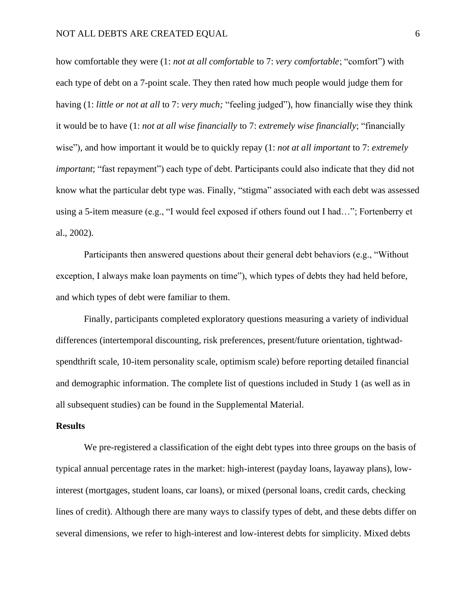how comfortable they were (1: *not at all comfortable* to 7: *very comfortable*; "comfort") with each type of debt on a 7-point scale. They then rated how much people would judge them for having (1: *little or not at all* to 7: *very much;* "feeling judged"), how financially wise they think it would be to have (1: *not at all wise financially* to 7: *extremely wise financially*; "financially wise"), and how important it would be to quickly repay (1: *not at all important* to 7: *extremely important*; "fast repayment") each type of debt. Participants could also indicate that they did not know what the particular debt type was. Finally, "stigma" associated with each debt was assessed using a 5-item measure (e.g., "I would feel exposed if others found out I had…"; Fortenberry et al., 2002).

Participants then answered questions about their general debt behaviors (e.g., "Without exception, I always make loan payments on time"), which types of debts they had held before, and which types of debt were familiar to them.

Finally, participants completed exploratory questions measuring a variety of individual differences (intertemporal discounting, risk preferences, present/future orientation, tightwadspendthrift scale, 10-item personality scale, optimism scale) before reporting detailed financial and demographic information. The complete list of questions included in Study 1 (as well as in all subsequent studies) can be found in the Supplemental Material.

## **Results**

We pre-registered a classification of the eight debt types into three groups on the basis of typical annual percentage rates in the market: high-interest (payday loans, layaway plans), lowinterest (mortgages, student loans, car loans), or mixed (personal loans, credit cards, checking lines of credit). Although there are many ways to classify types of debt, and these debts differ on several dimensions, we refer to high-interest and low-interest debts for simplicity. Mixed debts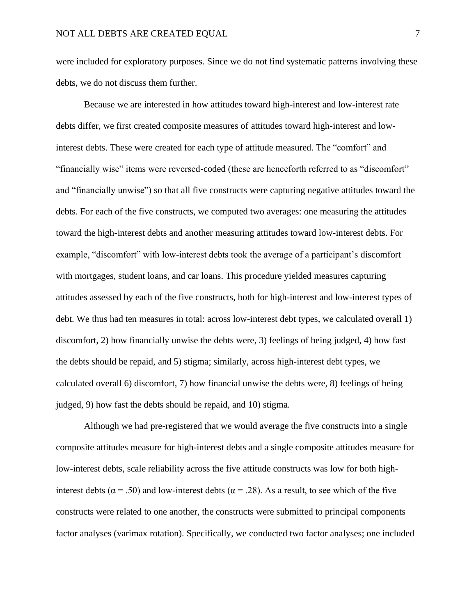were included for exploratory purposes. Since we do not find systematic patterns involving these debts, we do not discuss them further.

Because we are interested in how attitudes toward high-interest and low-interest rate debts differ, we first created composite measures of attitudes toward high-interest and lowinterest debts. These were created for each type of attitude measured. The "comfort" and "financially wise" items were reversed-coded (these are henceforth referred to as "discomfort" and "financially unwise") so that all five constructs were capturing negative attitudes toward the debts. For each of the five constructs, we computed two averages: one measuring the attitudes toward the high-interest debts and another measuring attitudes toward low-interest debts. For example, "discomfort" with low-interest debts took the average of a participant's discomfort with mortgages, student loans, and car loans. This procedure yielded measures capturing attitudes assessed by each of the five constructs, both for high-interest and low-interest types of debt. We thus had ten measures in total: across low-interest debt types, we calculated overall 1) discomfort, 2) how financially unwise the debts were, 3) feelings of being judged, 4) how fast the debts should be repaid, and 5) stigma; similarly, across high-interest debt types, we calculated overall 6) discomfort, 7) how financial unwise the debts were, 8) feelings of being judged, 9) how fast the debts should be repaid, and 10) stigma.

Although we had pre-registered that we would average the five constructs into a single composite attitudes measure for high-interest debts and a single composite attitudes measure for low-interest debts, scale reliability across the five attitude constructs was low for both highinterest debts ( $\alpha$  = .50) and low-interest debts ( $\alpha$  = .28). As a result, to see which of the five constructs were related to one another, the constructs were submitted to principal components factor analyses (varimax rotation). Specifically, we conducted two factor analyses; one included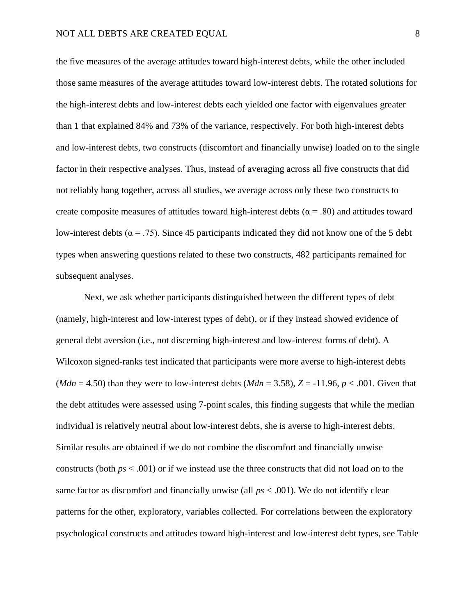the five measures of the average attitudes toward high-interest debts, while the other included those same measures of the average attitudes toward low-interest debts. The rotated solutions for the high-interest debts and low-interest debts each yielded one factor with eigenvalues greater than 1 that explained 84% and 73% of the variance, respectively. For both high-interest debts and low-interest debts, two constructs (discomfort and financially unwise) loaded on to the single factor in their respective analyses. Thus, instead of averaging across all five constructs that did not reliably hang together, across all studies, we average across only these two constructs to create composite measures of attitudes toward high-interest debts ( $\alpha$  = .80) and attitudes toward low-interest debts ( $\alpha$  = .75). Since 45 participants indicated they did not know one of the 5 debt types when answering questions related to these two constructs, 482 participants remained for subsequent analyses.

Next, we ask whether participants distinguished between the different types of debt (namely, high-interest and low-interest types of debt), or if they instead showed evidence of general debt aversion (i.e., not discerning high-interest and low-interest forms of debt). A Wilcoxon signed-ranks test indicated that participants were more averse to high-interest debts (*Mdn* = 4.50) than they were to low-interest debts (*Mdn* = 3.58),  $Z = -11.96$ ,  $p < .001$ . Given that the debt attitudes were assessed using 7-point scales, this finding suggests that while the median individual is relatively neutral about low-interest debts, she is averse to high-interest debts. Similar results are obtained if we do not combine the discomfort and financially unwise constructs (both *ps* < .001) or if we instead use the three constructs that did not load on to the same factor as discomfort and financially unwise (all *ps* < .001). We do not identify clear patterns for the other, exploratory, variables collected. For correlations between the exploratory psychological constructs and attitudes toward high-interest and low-interest debt types, see Table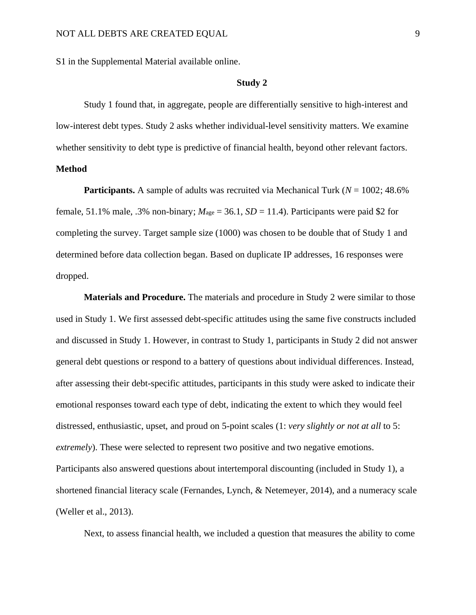S1 in the Supplemental Material available online.

## **Study 2**

Study 1 found that, in aggregate, people are differentially sensitive to high-interest and low-interest debt types. Study 2 asks whether individual-level sensitivity matters. We examine whether sensitivity to debt type is predictive of financial health, beyond other relevant factors. **Method**

**Participants.** A sample of adults was recruited via Mechanical Turk ( $N = 1002$ ; 48.6%) female, 51.1% male, .3% non-binary;  $M_{\text{age}} = 36.1$ ,  $SD = 11.4$ ). Participants were paid \$2 for completing the survey. Target sample size (1000) was chosen to be double that of Study 1 and determined before data collection began. Based on duplicate IP addresses, 16 responses were dropped.

**Materials and Procedure.** The materials and procedure in Study 2 were similar to those used in Study 1. We first assessed debt-specific attitudes using the same five constructs included and discussed in Study 1. However, in contrast to Study 1, participants in Study 2 did not answer general debt questions or respond to a battery of questions about individual differences. Instead, after assessing their debt-specific attitudes, participants in this study were asked to indicate their emotional responses toward each type of debt, indicating the extent to which they would feel distressed, enthusiastic, upset, and proud on 5-point scales (1: *very slightly or not at all* to 5: *extremely*). These were selected to represent two positive and two negative emotions. Participants also answered questions about intertemporal discounting (included in Study 1), a shortened financial literacy scale (Fernandes, Lynch, & Netemeyer, 2014), and a numeracy scale (Weller et al., 2013).

Next, to assess financial health, we included a question that measures the ability to come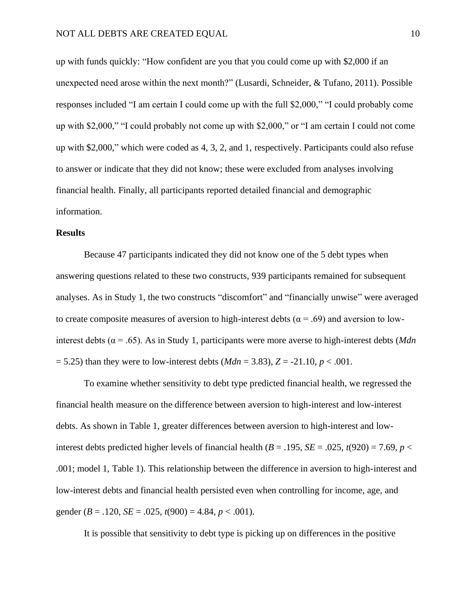up with funds quickly: "How confident are you that you could come up with \$2,000 if an unexpected need arose within the next month?" (Lusardi, Schneider, & Tufano, 2011). Possible responses included "I am certain I could come up with the full \$2,000," "I could probably come up with \$2,000," "I could probably not come up with \$2,000," or "I am certain I could not come up with \$2,000," which were coded as 4, 3, 2, and 1, respectively. Participants could also refuse to answer or indicate that they did not know; these were excluded from analyses involving financial health. Finally, all participants reported detailed financial and demographic information.

#### **Results**

Because 47 participants indicated they did not know one of the 5 debt types when answering questions related to these two constructs, 939 participants remained for subsequent analyses. As in Study 1, the two constructs "discomfort" and "financially unwise" were averaged to create composite measures of aversion to high-interest debts ( $\alpha = .69$ ) and aversion to lowinterest debts ( $\alpha$  = .65). As in Study 1, participants were more averse to high-interest debts (*Mdn*)  $= 5.25$ ) than they were to low-interest debts (*Mdn* = 3.83),  $Z = -21.10, p < .001$ .

To examine whether sensitivity to debt type predicted financial health, we regressed the financial health measure on the difference between aversion to high-interest and low-interest debts. As shown in Table 1, greater differences between aversion to high-interest and lowinterest debts predicted higher levels of financial health  $(B = .195, SE = .025, t(920) = 7.69, p <$ .001; model 1, Table 1). This relationship between the difference in aversion to high-interest and low-interest debts and financial health persisted even when controlling for income, age, and gender ( $B = .120$ ,  $SE = .025$ ,  $t(900) = 4.84$ ,  $p < .001$ ).

It is possible that sensitivity to debt type is picking up on differences in the positive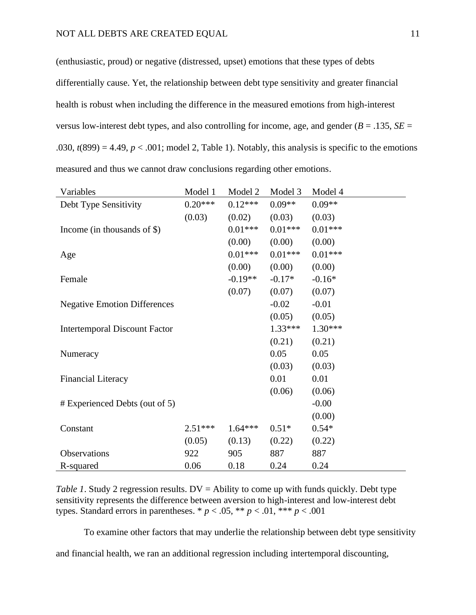(enthusiastic, proud) or negative (distressed, upset) emotions that these types of debts differentially cause. Yet, the relationship between debt type sensitivity and greater financial health is robust when including the difference in the measured emotions from high-interest versus low-interest debt types, and also controlling for income, age, and gender ( $B = .135$ ,  $SE =$ .030,  $t(899) = 4.49$ ,  $p < .001$ ; model 2, Table 1). Notably, this analysis is specific to the emotions measured and thus we cannot draw conclusions regarding other emotions.

| Variables                            | Model 1   | Model 2   | Model 3   | Model 4   |
|--------------------------------------|-----------|-----------|-----------|-----------|
| Debt Type Sensitivity                | $0.20***$ | $0.12***$ | $0.09**$  | $0.09**$  |
|                                      | (0.03)    | (0.02)    | (0.03)    | (0.03)    |
| Income (in thousands of $\$ )        |           | $0.01***$ | $0.01***$ | $0.01***$ |
|                                      |           | (0.00)    | (0.00)    | (0.00)    |
| Age                                  |           | $0.01***$ | $0.01***$ | $0.01***$ |
|                                      |           | (0.00)    | (0.00)    | (0.00)    |
| Female                               |           | $-0.19**$ | $-0.17*$  | $-0.16*$  |
|                                      |           | (0.07)    | (0.07)    | (0.07)    |
| <b>Negative Emotion Differences</b>  |           |           | $-0.02$   | $-0.01$   |
|                                      |           |           | (0.05)    | (0.05)    |
| <b>Intertemporal Discount Factor</b> |           |           | $1.33***$ | $1.30***$ |
|                                      |           |           | (0.21)    | (0.21)    |
| Numeracy                             |           |           | 0.05      | 0.05      |
|                                      |           |           | (0.03)    | (0.03)    |
| <b>Financial Literacy</b>            |           |           | 0.01      | 0.01      |
|                                      |           |           | (0.06)    | (0.06)    |
| # Experienced Debts (out of 5)       |           |           |           | $-0.00$   |
|                                      |           |           |           | (0.00)    |
| Constant                             | $2.51***$ | $1.64***$ | $0.51*$   | $0.54*$   |
|                                      | (0.05)    | (0.13)    | (0.22)    | (0.22)    |
| Observations                         | 922       | 905       | 887       | 887       |
| R-squared                            | 0.06      | 0.18      | 0.24      | 0.24      |

*Table 1*. Study 2 regression results.  $DV =$  Ability to come up with funds quickly. Debt type sensitivity represents the difference between aversion to high-interest and low-interest debt types. Standard errors in parentheses. \*  $p < .05$ , \*\*  $p < .01$ , \*\*\*  $p < .001$ 

To examine other factors that may underlie the relationship between debt type sensitivity

and financial health, we ran an additional regression including intertemporal discounting,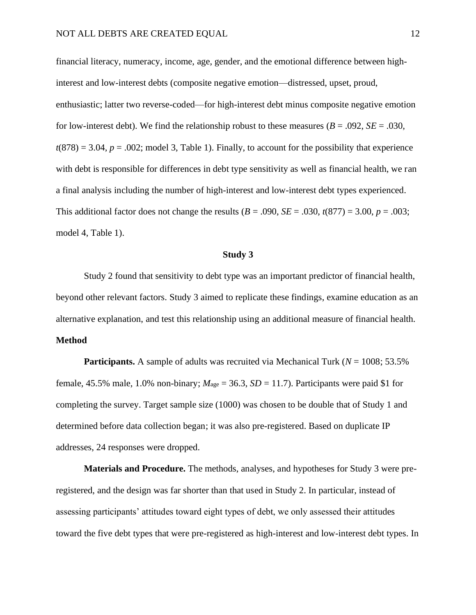financial literacy, numeracy, income, age, gender, and the emotional difference between highinterest and low-interest debts (composite negative emotion—distressed, upset, proud, enthusiastic; latter two reverse-coded—for high-interest debt minus composite negative emotion for low-interest debt). We find the relationship robust to these measures ( $B = .092$ ,  $SE = .030$ ,  $t(878) = 3.04$ ,  $p = .002$ ; model 3, Table 1). Finally, to account for the possibility that experience with debt is responsible for differences in debt type sensitivity as well as financial health, we ran a final analysis including the number of high-interest and low-interest debt types experienced. This additional factor does not change the results  $(B = .090, SE = .030, t(877) = 3.00, p = .003;$ model 4, Table 1).

#### **Study 3**

Study 2 found that sensitivity to debt type was an important predictor of financial health, beyond other relevant factors. Study 3 aimed to replicate these findings, examine education as an alternative explanation, and test this relationship using an additional measure of financial health.

# **Method**

**Participants.** A sample of adults was recruited via Mechanical Turk ( $N = 1008$ ; 53.5% female, 45.5% male, 1.0% non-binary;  $M_{\text{age}} = 36.3$ ,  $SD = 11.7$ ). Participants were paid \$1 for completing the survey. Target sample size (1000) was chosen to be double that of Study 1 and determined before data collection began; it was also pre-registered. Based on duplicate IP addresses, 24 responses were dropped.

**Materials and Procedure.** The methods, analyses, and hypotheses for Study 3 were preregistered, and the design was far shorter than that used in Study 2. In particular, instead of assessing participants' attitudes toward eight types of debt, we only assessed their attitudes toward the five debt types that were pre-registered as high-interest and low-interest debt types. In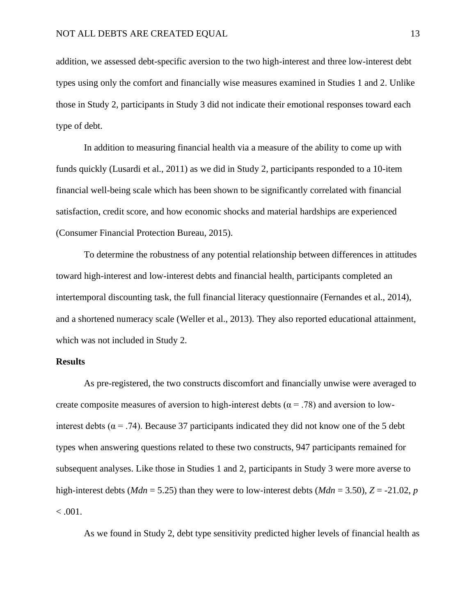addition, we assessed debt-specific aversion to the two high-interest and three low-interest debt types using only the comfort and financially wise measures examined in Studies 1 and 2. Unlike those in Study 2, participants in Study 3 did not indicate their emotional responses toward each type of debt.

In addition to measuring financial health via a measure of the ability to come up with funds quickly (Lusardi et al., 2011) as we did in Study 2, participants responded to a 10-item financial well-being scale which has been shown to be significantly correlated with financial satisfaction, credit score, and how economic shocks and material hardships are experienced (Consumer Financial Protection Bureau, 2015).

To determine the robustness of any potential relationship between differences in attitudes toward high-interest and low-interest debts and financial health, participants completed an intertemporal discounting task, the full financial literacy questionnaire (Fernandes et al., 2014), and a shortened numeracy scale (Weller et al., 2013). They also reported educational attainment, which was not included in Study 2.

## **Results**

As pre-registered, the two constructs discomfort and financially unwise were averaged to create composite measures of aversion to high-interest debts ( $\alpha$  = .78) and aversion to lowinterest debts ( $\alpha$  = .74). Because 37 participants indicated they did not know one of the 5 debt types when answering questions related to these two constructs, 947 participants remained for subsequent analyses. Like those in Studies 1 and 2, participants in Study 3 were more averse to high-interest debts ( $Mdn = 5.25$ ) than they were to low-interest debts ( $Mdn = 3.50$ ),  $Z = -21.02$ , *p*  $< 0.001$ .

As we found in Study 2, debt type sensitivity predicted higher levels of financial health as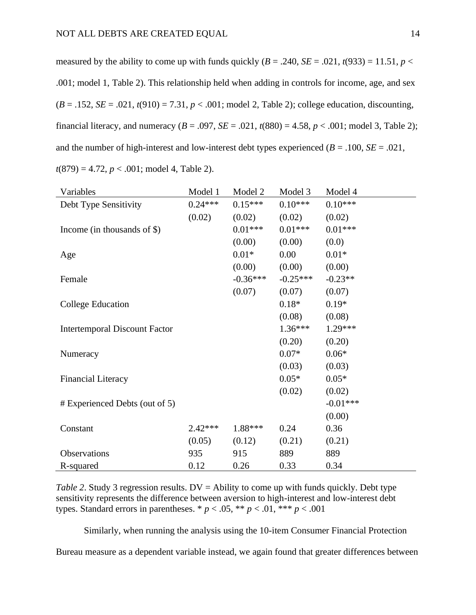measured by the ability to come up with funds quickly  $(B = .240, SE = .021, t(933) = 11.51, p <$ .001; model 1, Table 2). This relationship held when adding in controls for income, age, and sex  $(B = .152, SE = .021, t(910) = 7.31, p < .001$ ; model 2, Table 2); college education, discounting, financial literacy, and numeracy ( $B = .097$ ,  $SE = .021$ ,  $t(880) = 4.58$ ,  $p < .001$ ; model 3, Table 2); and the number of high-interest and low-interest debt types experienced ( $B = .100$ ,  $SE = .021$ , *t*(879) = 4.72, *p* < .001; model 4, Table 2).

| Variables                            | Model 1   | Model 2    | Model 3    | Model 4    |
|--------------------------------------|-----------|------------|------------|------------|
| Debt Type Sensitivity                | $0.24***$ | $0.15***$  | $0.10***$  | $0.10***$  |
|                                      | (0.02)    | (0.02)     | (0.02)     | (0.02)     |
| Income (in thousands of $\$ )        |           | $0.01***$  | $0.01***$  | $0.01***$  |
|                                      |           | (0.00)     | (0.00)     | (0.0)      |
| Age                                  |           | $0.01*$    | 0.00       | $0.01*$    |
|                                      |           | (0.00)     | (0.00)     | (0.00)     |
| Female                               |           | $-0.36***$ | $-0.25***$ | $-0.23**$  |
|                                      |           | (0.07)     | (0.07)     | (0.07)     |
| College Education                    |           |            | $0.18*$    | $0.19*$    |
|                                      |           |            | (0.08)     | (0.08)     |
| <b>Intertemporal Discount Factor</b> |           |            | $1.36***$  | $1.29***$  |
|                                      |           |            | (0.20)     | (0.20)     |
| Numeracy                             |           |            | $0.07*$    | $0.06*$    |
|                                      |           |            | (0.03)     | (0.03)     |
| <b>Financial Literacy</b>            |           |            | $0.05*$    | $0.05*$    |
|                                      |           |            | (0.02)     | (0.02)     |
| # Experienced Debts (out of 5)       |           |            |            | $-0.01***$ |
|                                      |           |            |            | (0.00)     |
| Constant                             | $2.42***$ | 1.88***    | 0.24       | 0.36       |
|                                      | (0.05)    | (0.12)     | (0.21)     | (0.21)     |
| Observations                         | 935       | 915        | 889        | 889        |
| R-squared                            | 0.12      | 0.26       | 0.33       | 0.34       |

*Table 2.* Study 3 regression results. DV = Ability to come up with funds quickly. Debt type sensitivity represents the difference between aversion to high-interest and low-interest debt types. Standard errors in parentheses. \*  $p < .05$ , \*\*  $p < .01$ , \*\*\*  $p < .001$ 

Similarly, when running the analysis using the 10-item Consumer Financial Protection

Bureau measure as a dependent variable instead, we again found that greater differences between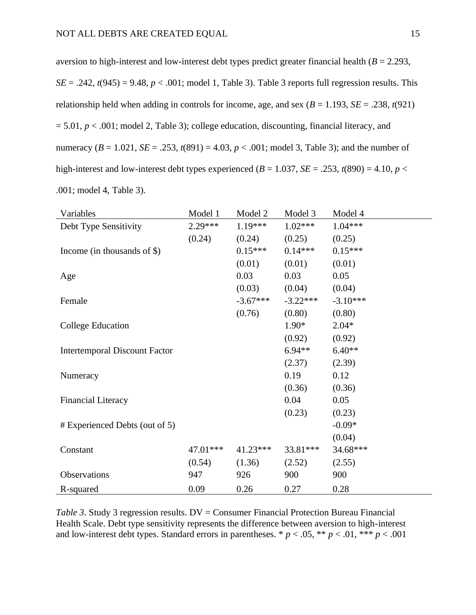aversion to high-interest and low-interest debt types predict greater financial health  $(B = 2.293,$  $SE = .242$ ,  $t(945) = 9.48$ ,  $p < .001$ ; model 1, Table 3). Table 3 reports full regression results. This relationship held when adding in controls for income, age, and sex  $(B = 1.193, SE = .238, t(921)$  $= 5.01, p < .001$ ; model 2, Table 3); college education, discounting, financial literacy, and numeracy  $(B = 1.021, SE = .253, t(891) = 4.03, p < .001$ ; model 3, Table 3); and the number of high-interest and low-interest debt types experienced ( $B = 1.037$ ,  $SE = .253$ ,  $t(890) = 4.10$ ,  $p <$ .001; model 4, Table 3).

| Variables                            | Model 1   | Model 2    | Model 3    | Model 4    |
|--------------------------------------|-----------|------------|------------|------------|
| Debt Type Sensitivity                | $2.29***$ | $1.19***$  | $1.02***$  | $1.04***$  |
|                                      | (0.24)    | (0.24)     | (0.25)     | (0.25)     |
| Income (in thousands of $\$ )        |           | $0.15***$  | $0.14***$  | $0.15***$  |
|                                      |           | (0.01)     | (0.01)     | (0.01)     |
| Age                                  |           | 0.03       | 0.03       | 0.05       |
|                                      |           | (0.03)     | (0.04)     | (0.04)     |
| Female                               |           | $-3.67***$ | $-3.22***$ | $-3.10***$ |
|                                      |           | (0.76)     | (0.80)     | (0.80)     |
| College Education                    |           |            | $1.90*$    | $2.04*$    |
|                                      |           |            | (0.92)     | (0.92)     |
| <b>Intertemporal Discount Factor</b> |           |            | $6.94**$   | $6.40**$   |
|                                      |           |            | (2.37)     | (2.39)     |
| Numeracy                             |           |            | 0.19       | 0.12       |
|                                      |           |            | (0.36)     | (0.36)     |
| <b>Financial Literacy</b>            |           |            | 0.04       | 0.05       |
|                                      |           |            | (0.23)     | (0.23)     |
| # Experienced Debts (out of 5)       |           |            |            | $-0.09*$   |
|                                      |           |            |            | (0.04)     |
| Constant                             | 47.01***  | $41.23***$ | 33.81***   | 34.68***   |
|                                      | (0.54)    | (1.36)     | (2.52)     | (2.55)     |
| Observations                         | 947       | 926        | 900        | 900        |
| R-squared                            | 0.09      | 0.26       | 0.27       | 0.28       |

*Table 3.* Study 3 regression results. DV = Consumer Financial Protection Bureau Financial Health Scale. Debt type sensitivity represents the difference between aversion to high-interest and low-interest debt types. Standard errors in parentheses. \*  $p < .05$ , \*\*  $p < .01$ , \*\*\*  $p < .001$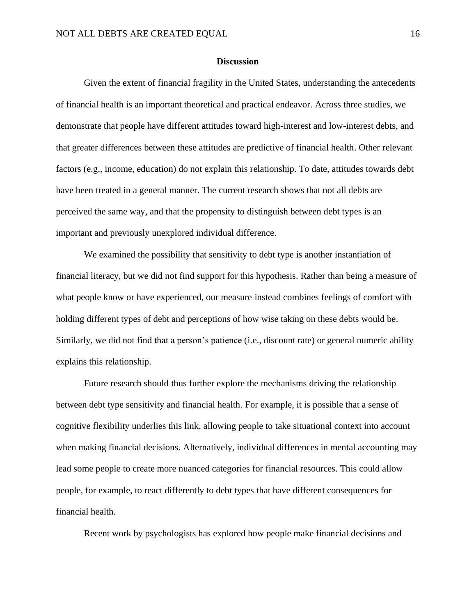#### **Discussion**

Given the extent of financial fragility in the United States, understanding the antecedents of financial health is an important theoretical and practical endeavor. Across three studies, we demonstrate that people have different attitudes toward high-interest and low-interest debts, and that greater differences between these attitudes are predictive of financial health. Other relevant factors (e.g., income, education) do not explain this relationship. To date, attitudes towards debt have been treated in a general manner. The current research shows that not all debts are perceived the same way, and that the propensity to distinguish between debt types is an important and previously unexplored individual difference.

We examined the possibility that sensitivity to debt type is another instantiation of financial literacy, but we did not find support for this hypothesis. Rather than being a measure of what people know or have experienced, our measure instead combines feelings of comfort with holding different types of debt and perceptions of how wise taking on these debts would be. Similarly, we did not find that a person's patience (i.e., discount rate) or general numeric ability explains this relationship.

Future research should thus further explore the mechanisms driving the relationship between debt type sensitivity and financial health. For example, it is possible that a sense of cognitive flexibility underlies this link, allowing people to take situational context into account when making financial decisions. Alternatively, individual differences in mental accounting may lead some people to create more nuanced categories for financial resources. This could allow people, for example, to react differently to debt types that have different consequences for financial health.

Recent work by psychologists has explored how people make financial decisions and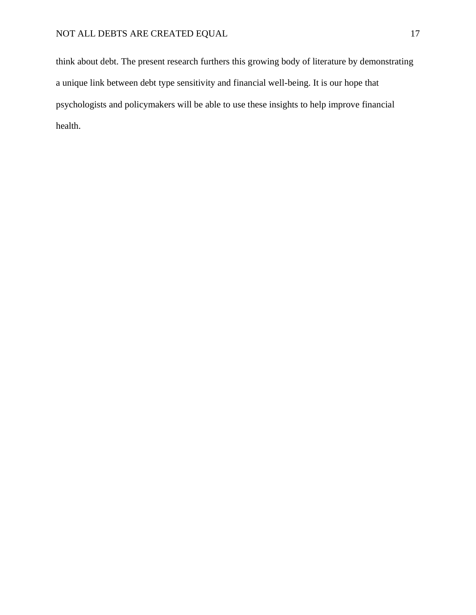think about debt. The present research furthers this growing body of literature by demonstrating a unique link between debt type sensitivity and financial well-being. It is our hope that psychologists and policymakers will be able to use these insights to help improve financial health.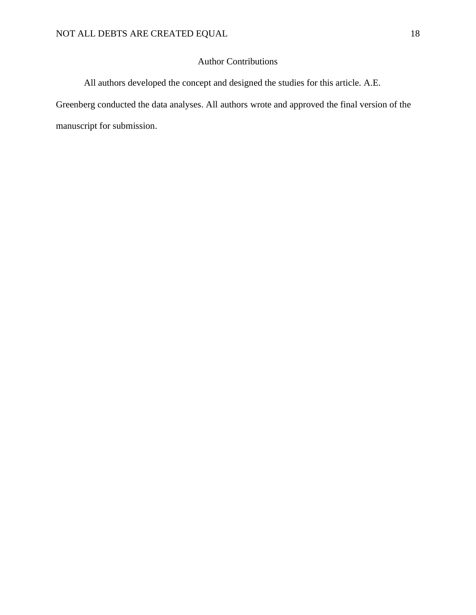# Author Contributions

All authors developed the concept and designed the studies for this article. A.E.

Greenberg conducted the data analyses. All authors wrote and approved the final version of the manuscript for submission.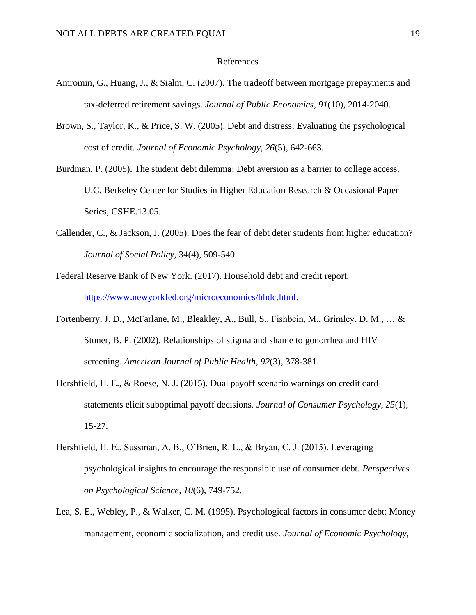#### References

- Amromin, G., Huang, J., & Sialm, C. (2007). The tradeoff between mortgage prepayments and tax-deferred retirement savings. *Journal of Public Economics*, *91*(10), 2014-2040.
- Brown, S., Taylor, K., & Price, S. W. (2005). Debt and distress: Evaluating the psychological cost of credit. *Journal of Economic Psychology*, *26*(5), 642-663.
- Burdman, P. (2005). The student debt dilemma: Debt aversion as a barrier to college access. U.C. Berkeley Center for Studies in Higher Education Research & Occasional Paper Series, CSHE.13.05.
- Callender, C., & Jackson, J. (2005). Does the fear of debt deter students from higher education? *Journal of Social Policy*, 34(4), 509-540.
- Federal Reserve Bank of New York. (2017). Household debt and credit report. [https://www.newyorkfed.org/microeconomics/hhdc.html.](https://www.newyorkfed.org/microeconomics/hhdc.html)
- Fortenberry, J. D., McFarlane, M., Bleakley, A., Bull, S., Fishbein, M., Grimley, D. M., … & Stoner, B. P. (2002). Relationships of stigma and shame to gonorrhea and HIV screening. *American Journal of Public Health*, *92*(3), 378-381.
- Hershfield, H. E., & Roese, N. J. (2015). Dual payoff scenario warnings on credit card statements elicit suboptimal payoff decisions. *Journal of Consumer Psychology*, *25*(1), 15-27.
- Hershfield, H. E., Sussman, A. B., O'Brien, R. L., & Bryan, C. J. (2015). Leveraging psychological insights to encourage the responsible use of consumer debt. *Perspectives on Psychological Science*, *10*(6), 749-752.
- Lea, S. E., Webley, P., & Walker, C. M. (1995). Psychological factors in consumer debt: Money management, economic socialization, and credit use. *Journal of Economic Psychology*,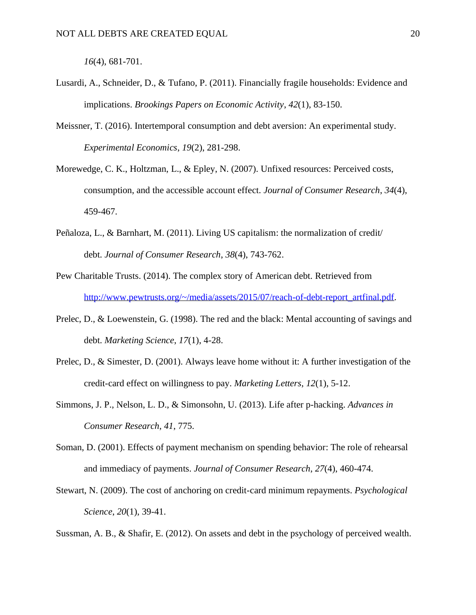*16*(4), 681-701.

- Lusardi, A., Schneider, D., & Tufano, P. (2011). Financially fragile households: Evidence and implications. *Brookings Papers on Economic Activity*, *42*(1), 83-150.
- Meissner, T. (2016). Intertemporal consumption and debt aversion: An experimental study. *Experimental Economics*, *19*(2), 281-298.
- Morewedge, C. K., Holtzman, L., & Epley, N. (2007). Unfixed resources: Perceived costs, consumption, and the accessible account effect. *Journal of Consumer Research*, *34*(4), 459-467.
- Peñaloza, L., & Barnhart, M. (2011). Living US capitalism: the normalization of credit/ debt. *Journal of Consumer Research*, *38*(4), 743-762.
- Pew Charitable Trusts. (2014). The complex story of American debt. Retrieved from [http://www.pewtrusts.org/~/media/assets/2015/07/reach-of-debt-report\\_artfinal.pdf.](http://www.pewtrusts.org/~/media/assets/2015/07/reach-of-debt-report_artfinal.pdf)
- Prelec, D., & Loewenstein, G. (1998). The red and the black: Mental accounting of savings and debt. *Marketing Science*, *17*(1), 4-28.
- Prelec, D., & Simester, D. (2001). Always leave home without it: A further investigation of the credit-card effect on willingness to pay. *Marketing Letters*, *12*(1), 5-12.
- Simmons, J. P., Nelson, L. D., & Simonsohn, U. (2013). Life after p-hacking. *Advances in Consumer Research*, *41*, 775.
- Soman, D. (2001). Effects of payment mechanism on spending behavior: The role of rehearsal and immediacy of payments. *Journal of Consumer Research*, *27*(4), 460-474.
- Stewart, N. (2009). The cost of anchoring on credit-card minimum repayments. *Psychological Science*, *20*(1), 39-41.

Sussman, A. B., & Shafir, E. (2012). On assets and debt in the psychology of perceived wealth.